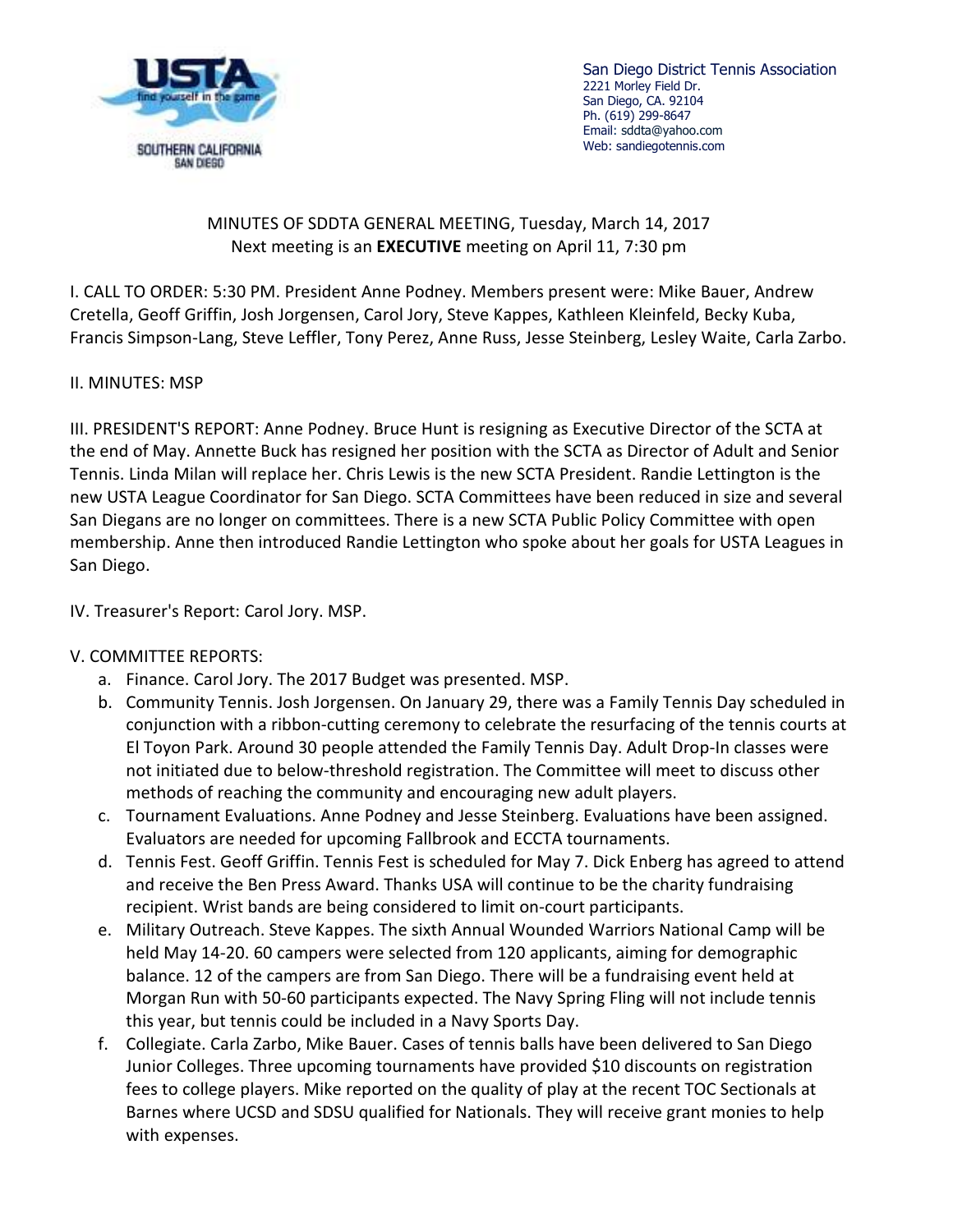

San Diego District Tennis Association 2221 Morley Field Dr. San Diego, CA. 92104 Ph. (619) 299-8647 Email: sddta@yahoo.com Web: sandiegotennis.com

## MINUTES OF SDDTA GENERAL MEETING, Tuesday, March 14, 2017 Next meeting is an **EXECUTIVE** meeting on April 11, 7:30 pm

I. CALL TO ORDER: 5:30 PM. President Anne Podney. Members present were: Mike Bauer, Andrew Cretella, Geoff Griffin, Josh Jorgensen, Carol Jory, Steve Kappes, Kathleen Kleinfeld, Becky Kuba, Francis Simpson-Lang, Steve Leffler, Tony Perez, Anne Russ, Jesse Steinberg, Lesley Waite, Carla Zarbo.

## II. MINUTES: MSP

III. PRESIDENT'S REPORT: Anne Podney. Bruce Hunt is resigning as Executive Director of the SCTA at the end of May. Annette Buck has resigned her position with the SCTA as Director of Adult and Senior Tennis. Linda Milan will replace her. Chris Lewis is the new SCTA President. Randie Lettington is the new USTA League Coordinator for San Diego. SCTA Committees have been reduced in size and several San Diegans are no longer on committees. There is a new SCTA Public Policy Committee with open membership. Anne then introduced Randie Lettington who spoke about her goals for USTA Leagues in San Diego.

IV. Treasurer's Report: Carol Jory. MSP.

## V. COMMITTEE REPORTS:

- a. Finance. Carol Jory. The 2017 Budget was presented. MSP.
- b. Community Tennis. Josh Jorgensen. On January 29, there was a Family Tennis Day scheduled in conjunction with a ribbon-cutting ceremony to celebrate the resurfacing of the tennis courts at El Toyon Park. Around 30 people attended the Family Tennis Day. Adult Drop-In classes were not initiated due to below-threshold registration. The Committee will meet to discuss other methods of reaching the community and encouraging new adult players.
- c. Tournament Evaluations. Anne Podney and Jesse Steinberg. Evaluations have been assigned. Evaluators are needed for upcoming Fallbrook and ECCTA tournaments.
- d. Tennis Fest. Geoff Griffin. Tennis Fest is scheduled for May 7. Dick Enberg has agreed to attend and receive the Ben Press Award. Thanks USA will continue to be the charity fundraising recipient. Wrist bands are being considered to limit on-court participants.
- e. Military Outreach. Steve Kappes. The sixth Annual Wounded Warriors National Camp will be held May 14-20. 60 campers were selected from 120 applicants, aiming for demographic balance. 12 of the campers are from San Diego. There will be a fundraising event held at Morgan Run with 50-60 participants expected. The Navy Spring Fling will not include tennis this year, but tennis could be included in a Navy Sports Day.
- f. Collegiate. Carla Zarbo, Mike Bauer. Cases of tennis balls have been delivered to San Diego Junior Colleges. Three upcoming tournaments have provided \$10 discounts on registration fees to college players. Mike reported on the quality of play at the recent TOC Sectionals at Barnes where UCSD and SDSU qualified for Nationals. They will receive grant monies to help with expenses.